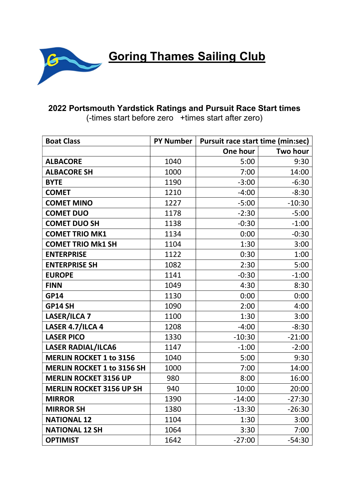

**Goring Thames Sailing Club** 

## 2022 Portsmouth Yardstick Ratings and Pursuit Race Start times

(-times start before zero +times start after zero)

| <b>Boat Class</b>                 | <b>PY Number</b> | <b>Pursuit race start time (min:sec)</b> |          |
|-----------------------------------|------------------|------------------------------------------|----------|
|                                   |                  | One hour                                 | Two hour |
| <b>ALBACORE</b>                   | 1040             | 5:00                                     | 9:30     |
| <b>ALBACORE SH</b>                | 1000             | 7:00                                     | 14:00    |
| <b>BYTE</b>                       | 1190             | $-3:00$                                  | $-6:30$  |
| <b>COMET</b>                      | 1210             | $-4:00$                                  | $-8:30$  |
| <b>COMET MINO</b>                 | 1227             | $-5:00$                                  | $-10:30$ |
| <b>COMET DUO</b>                  | 1178             | $-2:30$                                  | $-5:00$  |
| <b>COMET DUO SH</b>               | 1138             | $-0:30$                                  | $-1:00$  |
| <b>COMET TRIO MK1</b>             | 1134             | 0:00                                     | $-0:30$  |
| <b>COMET TRIO Mk1 SH</b>          | 1104             | 1:30                                     | 3:00     |
| <b>ENTERPRISE</b>                 | 1122             | 0:30                                     | 1:00     |
| <b>ENTERPRISE SH</b>              | 1082             | 2:30                                     | 5:00     |
| <b>EUROPE</b>                     | 1141             | $-0:30$                                  | $-1:00$  |
| <b>FINN</b>                       | 1049             | 4:30                                     | 8:30     |
| <b>GP14</b>                       | 1130             | 0:00                                     | 0:00     |
| GP14 SH                           | 1090             | 2:00                                     | 4:00     |
| <b>LASER/ILCA 7</b>               | 1100             | 1:30                                     | 3:00     |
| LASER 4.7/ILCA 4                  | 1208             | $-4:00$                                  | $-8:30$  |
| <b>LASER PICO</b>                 | 1330             | $-10:30$                                 | $-21:00$ |
| <b>LASER RADIAL/ILCA6</b>         | 1147             | $-1:00$                                  | $-2:00$  |
| <b>MERLIN ROCKET 1 to 3156</b>    | 1040             | 5:00                                     | 9:30     |
| <b>MERLIN ROCKET 1 to 3156 SH</b> | 1000             | 7:00                                     | 14:00    |
| <b>MERLIN ROCKET 3156 UP</b>      | 980              | 8:00                                     | 16:00    |
| <b>MERLIN ROCKET 3156 UP SH</b>   | 940              | 10:00                                    | 20:00    |
| <b>MIRROR</b>                     | 1390             | $-14:00$                                 | $-27:30$ |
| <b>MIRROR SH</b>                  | 1380             | $-13:30$                                 | $-26:30$ |
| <b>NATIONAL 12</b>                | 1104             | 1:30                                     | 3:00     |
| <b>NATIONAL 12 SH</b>             | 1064             | 3:30                                     | 7:00     |
| <b>OPTIMIST</b>                   | 1642             | $-27:00$                                 | $-54:30$ |